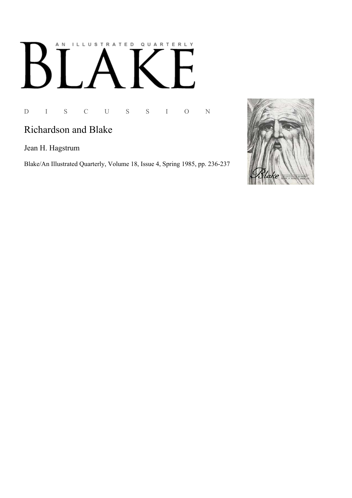## AN ILLUSTRATED QUARTERLY  $\mathsf B$

## D I S C U S S I O N

## Richardson and Blake

Jean H. Hagstrum

Blake/An Illustrated Quarterly, Volume 18, Issue 4, Spring 1985, pp. 236-237

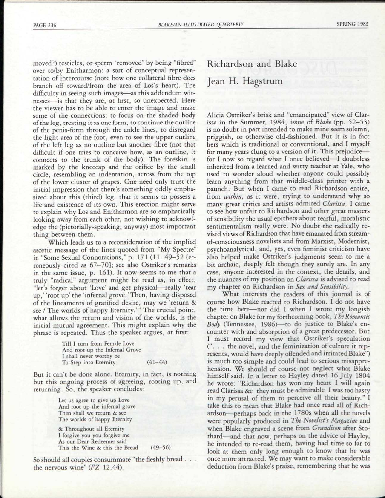moved?) testicles, or sperm "removed" by being "fibred" over to/by Enitharmon: a sort of conceptual representation of intercourse (note how one collateral fibre does branch off toward/from the area of Los's heart). The difficulty in seeing such images—as this addendum witnesses—is that they are, at first, so unexpected. Here the viewer has to be able to enter the image and make some of the connections: to focus on the shaded body of the leg, treating it as one form, to continue the outline of the penis-form through the ankle lines, to disregard the light area of the foot, even to see the upper outline of the left leg as no outline but another fibre (not that difficult if one tries to conceive how, as an outline, it connects to the trunk of the body). The foreskin is marked by the kneecap and the orifice by the small circle, resembling an indentation, across from the top of the lower cluster of grapes. One need only trust the initial impression that there's something oddly emphasized about this (third) leg, that it seems to possess a life and existence of its own. This erection might serve to explain why Los and Enitharmon are so emphatically looking away from each other, not wishing to acknowledge the (pictorially-speaking, anyway) most important thing between them.

Which leads us to a reconsideration of the implied ascetic message of the lines quoted from "My Spectre" in "Some Sexual Connotations," p. 171 (11. 49-52 [erroneously cited as 67-70]; see also Ostriker's remarks in the same issue, p. 161). It now seems to me that a truly "radical" argument might be read as, in effect, "let's forget about 'Love' and get physical—really 'tear up,' 'root up' the 'infernal grove.'Then, having disposed of the lineaments of gratified desire, may we 'return & see / The worlds of happy Eternity.'" The crucial point, what allows the return and vision of the worlds, is the initial mutual agreement. This might explain why the phrase is repeated. Thus the speaker argues, at first:

|                         | Till I turn from Female Love   |             |
|-------------------------|--------------------------------|-------------|
|                         | And root up the Infernal Grove |             |
| I shall never worthy be |                                |             |
| To Step into Eternity   |                                | $(41 - 44)$ |

But it can't be done alone. Eternity, in fact, is nothing but this ongoing process of agreeing, rooting up, and returning. So, the speaker concludes:

> Let us agree to give up Love And root up the infernal grove Then shall we return & see The worlds of happy Eternity

& Throughout all Eternity I forgive you you forgive me As our Dear Redeemer said This the Wine & this the Bread (49-56)

So should all couples consummate "the fleshly bread . . . the nervous wine" *(FZ* 12.44).

## Richardson and Blake Jean H. Hagstrum

Alicia Ostriker's brisk and "emancipated" view of Clarissa in the Summer, 1984, issue of *Blake* (pp. 52-53) is no doubt in part intended to make mine seem solemn, priggish, or otherwise old-fashioned. But it is in fact hers which is traditional or conventional, and I myself for many years clung to a version of it. This prejudice for I now so regard what I once believed—I doubtless inherited from a learned and witty teacher at Yale, who used to wonder aloud whether anyone could possibly learn anything from that middle-class printer with a paunch. But when I came to read Richardson entire, from *within,* as it were, trying to understand why so many great critics and artists admired *Clarissa,* I came to see how unfair to Richardson and other great masters of sensibility the usual epithets about tearful, moralistic sentimentalism really were. No doubt the radically revised views of Richardson that have emanated from streamof-consciousness novelists and from Marxist, Modernist, psychoanalytical, and, yes, even feminist criticism have also helped make Ostriker's judgments seem to me a bit archaic, deeply felt though they surely are. In any case, anyone interested in the context, the details, and the nuances of my position on *Clarissa* is advised to read my chapter on Richardson in *Sex and Sensibility.* 

What interests the readers of this journal is of course how Blake reacted to Richardson. I do not have the time here—nor did I when I wrote my longish chapter on Blake for my forthcoming book, *The Romantic Body* (Tennessee, 1986)—to do justice to Blake's encounter with and absorption of a great predecessor. But I must record my view that Ostriker's speculation (". . . the novel, and the feminization of culture it represents, would have deeply offended and irritated Blake") is much too simple and could lead to serious misapprehension. We should of course not neglect what Blake himself said. In a letter to Hayley dated 16 July 1804 he wrote: "Richardson has won my heart I will again read Clarissa &c they must be admirable I was too hasty in my perusal of them to perceive all their beauty." I take this to mean that Blake had once read all of Richardson—perhaps back in the 1780s when all the novels were popularly produced in *The Novelist's Magazine* and when Blake engraved a scene from *Grandison* after Stothard—and that now, perhaps on the advice of Hayley, he intended to re-read them, having had time so far to look at them only long enough to know that he was once more attracted. We may want to make considerable deduction from Blake's praise, remembering that he was